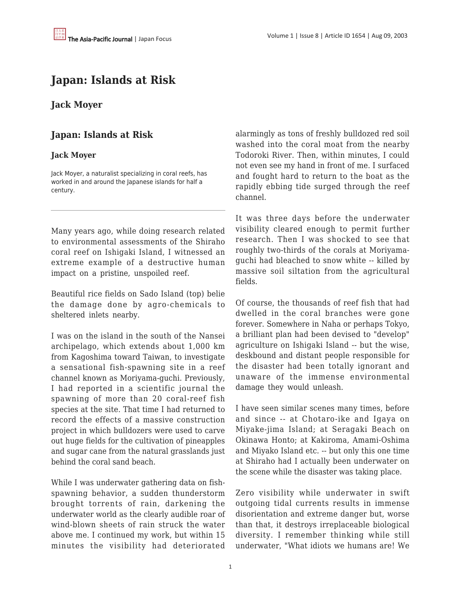## **Japan: Islands at Risk**

## **Jack Moyer**

## **Japan: Islands at Risk**

## **Jack Moyer**

Jack Moyer, a naturalist specializing in coral reefs, has worked in and around the Japanese islands for half a century.

Many years ago, while doing research related to environmental assessments of the Shiraho coral reef on Ishigaki Island, I witnessed an extreme example of a destructive human impact on a pristine, unspoiled reef.

Beautiful rice fields on Sado Island (top) belie the damage done by agro-chemicals to sheltered inlets nearby.

I was on the island in the south of the Nansei archipelago, which extends about 1,000 km from Kagoshima toward Taiwan, to investigate a sensational fish-spawning site in a reef channel known as Moriyama-guchi. Previously, I had reported in a scientific journal the spawning of more than 20 coral-reef fish species at the site. That time I had returned to record the effects of a massive construction project in which bulldozers were used to carve out huge fields for the cultivation of pineapples and sugar cane from the natural grasslands just behind the coral sand beach.

While I was underwater gathering data on fishspawning behavior, a sudden thunderstorm brought torrents of rain, darkening the underwater world as the clearly audible roar of wind-blown sheets of rain struck the water above me. I continued my work, but within 15 minutes the visibility had deteriorated

alarmingly as tons of freshly bulldozed red soil washed into the coral moat from the nearby Todoroki River. Then, within minutes, I could not even see my hand in front of me. I surfaced and fought hard to return to the boat as the rapidly ebbing tide surged through the reef channel.

It was three days before the underwater visibility cleared enough to permit further research. Then I was shocked to see that roughly two-thirds of the corals at Moriyamaguchi had bleached to snow white -- killed by massive soil siltation from the agricultural fields.

Of course, the thousands of reef fish that had dwelled in the coral branches were gone forever. Somewhere in Naha or perhaps Tokyo, a brilliant plan had been devised to "develop" agriculture on Ishigaki Island -- but the wise, deskbound and distant people responsible for the disaster had been totally ignorant and unaware of the immense environmental damage they would unleash.

I have seen similar scenes many times, before and since -- at Chotaro-ike and Igaya on Miyake-jima Island; at Seragaki Beach on Okinawa Honto; at Kakiroma, Amami-Oshima and Miyako Island etc. -- but only this one time at Shiraho had I actually been underwater on the scene while the disaster was taking place.

Zero visibility while underwater in swift outgoing tidal currents results in immense disorientation and extreme danger but, worse than that, it destroys irreplaceable biological diversity. I remember thinking while still underwater, "What idiots we humans are! We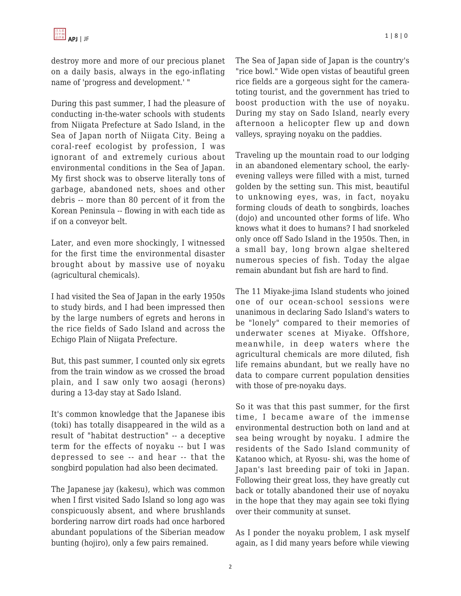destroy more and more of our precious planet on a daily basis, always in the ego-inflating name of 'progress and development.' "

During this past summer, I had the pleasure of conducting in-the-water schools with students from Niigata Prefecture at Sado Island, in the Sea of Japan north of Niigata City. Being a coral-reef ecologist by profession, I was ignorant of and extremely curious about environmental conditions in the Sea of Japan. My first shock was to observe literally tons of garbage, abandoned nets, shoes and other debris -- more than 80 percent of it from the Korean Peninsula -- flowing in with each tide as if on a conveyor belt.

Later, and even more shockingly, I witnessed for the first time the environmental disaster brought about by massive use of noyaku (agricultural chemicals).

I had visited the Sea of Japan in the early 1950s to study birds, and I had been impressed then by the large numbers of egrets and herons in the rice fields of Sado Island and across the Echigo Plain of Niigata Prefecture.

But, this past summer, I counted only six egrets from the train window as we crossed the broad plain, and I saw only two aosagi (herons) during a 13-day stay at Sado Island.

It's common knowledge that the Japanese ibis (toki) has totally disappeared in the wild as a result of "habitat destruction" -- a deceptive term for the effects of noyaku -- but I was depressed to see -- and hear -- that the songbird population had also been decimated.

The Japanese jay (kakesu), which was common when I first visited Sado Island so long ago was conspicuously absent, and where brushlands bordering narrow dirt roads had once harbored abundant populations of the Siberian meadow bunting (hojiro), only a few pairs remained.

The Sea of Japan side of Japan is the country's "rice bowl." Wide open vistas of beautiful green rice fields are a gorgeous sight for the cameratoting tourist, and the government has tried to boost production with the use of noyaku. During my stay on Sado Island, nearly every afternoon a helicopter flew up and down valleys, spraying noyaku on the paddies.

Traveling up the mountain road to our lodging in an abandoned elementary school, the earlyevening valleys were filled with a mist, turned golden by the setting sun. This mist, beautiful to unknowing eyes, was, in fact, noyaku forming clouds of death to songbirds, loaches (dojo) and uncounted other forms of life. Who knows what it does to humans? I had snorkeled only once off Sado Island in the 1950s. Then, in a small bay, long brown algae sheltered numerous species of fish. Today the algae remain abundant but fish are hard to find.

The 11 Miyake-jima Island students who joined one of our ocean-school sessions were unanimous in declaring Sado Island's waters to be "lonely" compared to their memories of underwater scenes at Miyake. Offshore, meanwhile, in deep waters where the agricultural chemicals are more diluted, fish life remains abundant, but we really have no data to compare current population densities with those of pre-noyaku days.

So it was that this past summer, for the first time, I became aware of the immense environmental destruction both on land and at sea being wrought by noyaku. I admire the residents of the Sado Island community of Katanoo which, at Ryosu- shi, was the home of Japan's last breeding pair of toki in Japan. Following their great loss, they have greatly cut back or totally abandoned their use of noyaku in the hope that they may again see toki flying over their community at sunset.

As I ponder the noyaku problem, I ask myself again, as I did many years before while viewing